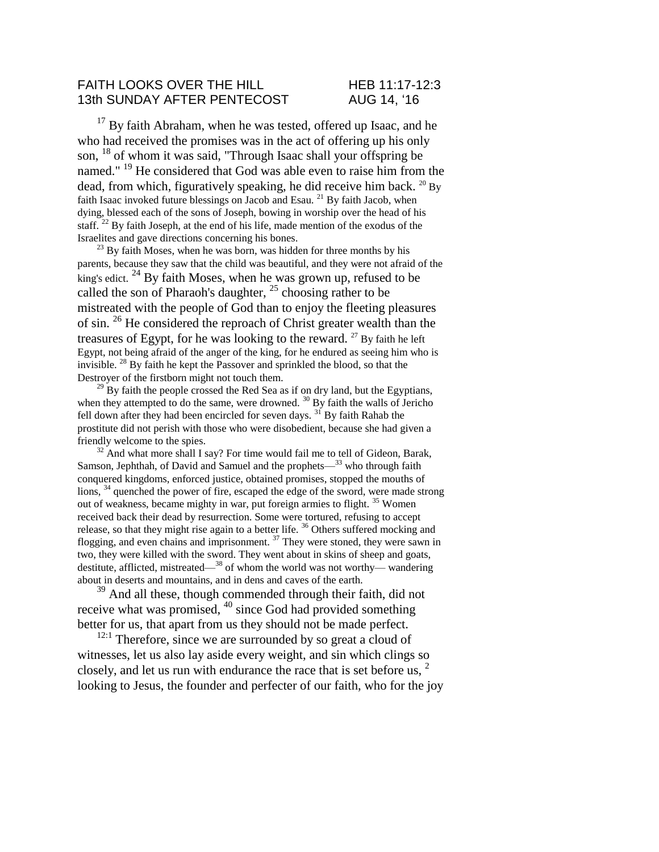#### FAITH LOOKS OVER THE HILL HEB 11:17-12:3 13th SUNDAY AFTER PENTECOST AUG 14, '16

 $17$  By faith Abraham, when he was tested, offered up Isaac, and he who had received the promises was in the act of offering up his only son, <sup>18</sup> of whom it was said, "Through Isaac shall your offspring be named." <sup>19</sup> He considered that God was able even to raise him from the dead, from which, figuratively speaking, he did receive him back.  $^{20}$  By faith Isaac invoked future blessings on Jacob and Esau. <sup>21</sup> By faith Jacob, when dying, blessed each of the sons of Joseph, bowing in worship over the head of his staff. <sup>22</sup> By faith Joseph, at the end of his life, made mention of the exodus of the Israelites and gave directions concerning his bones.

 $^{23}$  By faith Moses, when he was born, was hidden for three months by his parents, because they saw that the child was beautiful, and they were not afraid of the king's edict. <sup>24</sup> By faith Moses, when he was grown up, refused to be called the son of Pharaoh's daughter,  $^{25}$  choosing rather to be mistreated with the people of God than to enjoy the fleeting pleasures of sin. <sup>26</sup> He considered the reproach of Christ greater wealth than the treasures of Egypt, for he was looking to the reward. <sup>27</sup> By faith he left Egypt, not being afraid of the anger of the king, for he endured as seeing him who is invisible. <sup>28</sup> By faith he kept the Passover and sprinkled the blood, so that the Destroyer of the firstborn might not touch them.

 $^{29}$  By faith the people crossed the Red Sea as if on dry land, but the Egyptians, when they attempted to do the same, were drowned.  $30$  By faith the walls of Jericho fell down after they had been encircled for seven days. <sup>31</sup> By faith Rahab the prostitute did not perish with those who were disobedient, because she had given a friendly welcome to the spies.

 $32$  And what more shall I say? For time would fail me to tell of Gideon, Barak, Samson, Jephthah, of David and Samuel and the prophets—<sup>33</sup> who through faith conquered kingdoms, enforced justice, obtained promises, stopped the mouths of lions, <sup>34</sup> quenched the power of fire, escaped the edge of the sword, were made strong out of weakness, became mighty in war, put foreign armies to flight. <sup>35</sup> Women received back their dead by resurrection. Some were tortured, refusing to accept release, so that they might rise again to a better life. <sup>36</sup> Others suffered mocking and flogging, and even chains and imprisonment.  $37$  They were stoned, they were sawn in two, they were killed with the sword. They went about in skins of sheep and goats, destitute, afflicted, mistreated—<sup>38</sup> of whom the world was not worthy— wandering about in deserts and mountains, and in dens and caves of the earth.

<sup>39</sup> And all these, though commended through their faith, did not receive what was promised, <sup>40</sup> since God had provided something better for us, that apart from us they should not be made perfect.

 $12:1$  Therefore, since we are surrounded by so great a cloud of witnesses, let us also lay aside every weight, and sin which clings so closely, and let us run with endurance the race that is set before us, <sup>2</sup> looking to Jesus, the founder and perfecter of our faith, who for the joy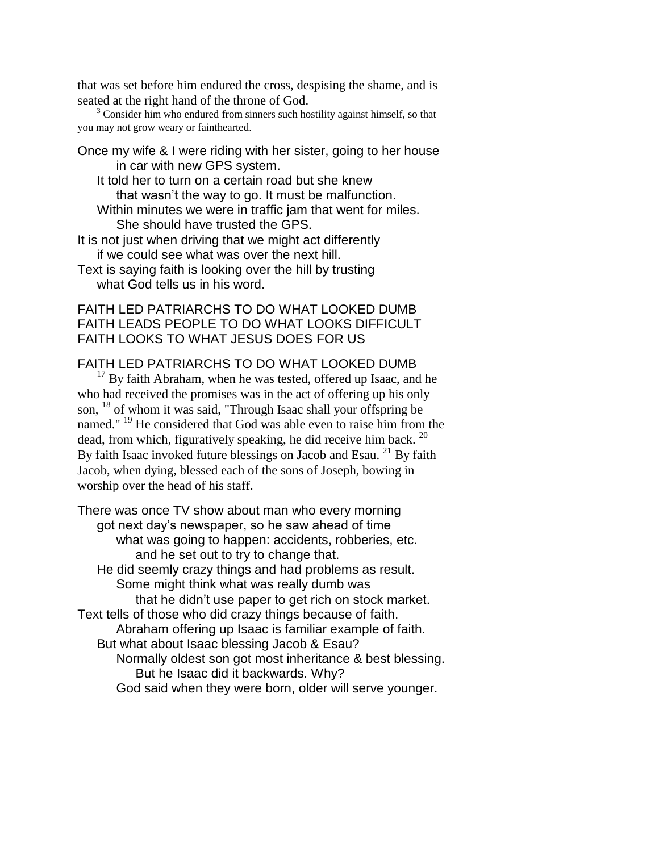that was set before him endured the cross, despising the shame, and is seated at the right hand of the throne of God.

 $3^3$  Consider him who endured from sinners such hostility against himself, so that you may not grow weary or fainthearted.

Once my wife & I were riding with her sister, going to her house in car with new GPS system.

It told her to turn on a certain road but she knew that wasn't the way to go. It must be malfunction.

Within minutes we were in traffic jam that went for miles. She should have trusted the GPS.

It is not just when driving that we might act differently if we could see what was over the next hill.

Text is saying faith is looking over the hill by trusting what God tells us in his word.

# FAITH LED PATRIARCHS TO DO WHAT LOOKED DUMB FAITH LEADS PEOPLE TO DO WHAT LOOKS DIFFICULT FAITH LOOKS TO WHAT JESUS DOES FOR US

# FAITH LED PATRIARCHS TO DO WHAT LOOKED DUMB

 $17$  By faith Abraham, when he was tested, offered up Isaac, and he who had received the promises was in the act of offering up his only son, <sup>18</sup> of whom it was said, "Through Isaac shall your offspring be named." <sup>19</sup> He considered that God was able even to raise him from the dead, from which, figuratively speaking, he did receive him back.  $^{20}$ By faith Isaac invoked future blessings on Jacob and Esau.<sup>21</sup> By faith Jacob, when dying, blessed each of the sons of Joseph, bowing in worship over the head of his staff.

There was once TV show about man who every morning got next day's newspaper, so he saw ahead of time what was going to happen: accidents, robberies, etc. and he set out to try to change that. He did seemly crazy things and had problems as result. Some might think what was really dumb was that he didn't use paper to get rich on stock market. Text tells of those who did crazy things because of faith. Abraham offering up Isaac is familiar example of faith. But what about Isaac blessing Jacob & Esau? Normally oldest son got most inheritance & best blessing. But he Isaac did it backwards. Why? God said when they were born, older will serve younger.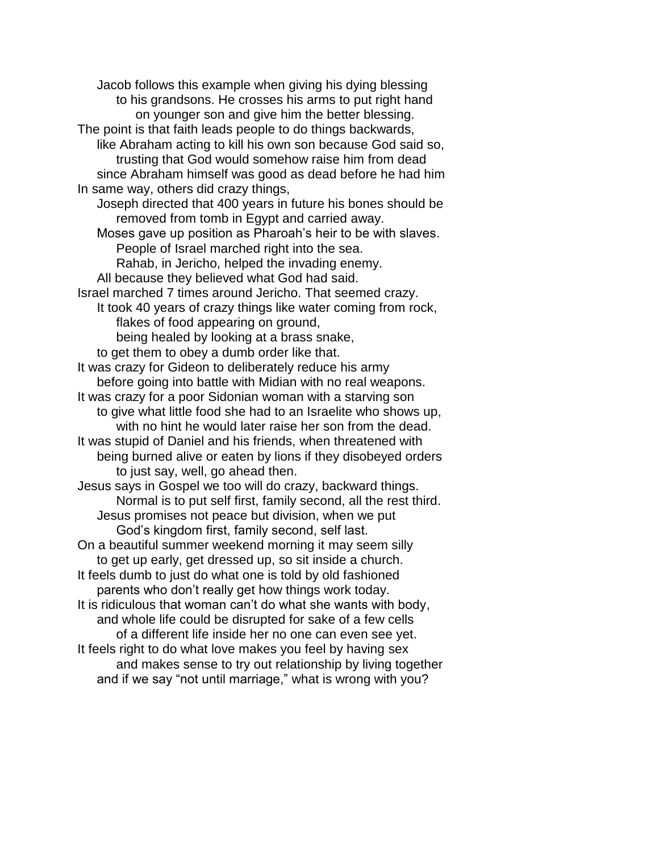Jacob follows this example when giving his dying blessing to his grandsons. He crosses his arms to put right hand on younger son and give him the better blessing. The point is that faith leads people to do things backwards, like Abraham acting to kill his own son because God said so, trusting that God would somehow raise him from dead since Abraham himself was good as dead before he had him In same way, others did crazy things, Joseph directed that 400 years in future his bones should be removed from tomb in Egypt and carried away. Moses gave up position as Pharoah's heir to be with slaves. People of Israel marched right into the sea. Rahab, in Jericho, helped the invading enemy. All because they believed what God had said. Israel marched 7 times around Jericho. That seemed crazy. It took 40 years of crazy things like water coming from rock, flakes of food appearing on ground, being healed by looking at a brass snake, to get them to obey a dumb order like that. It was crazy for Gideon to deliberately reduce his army before going into battle with Midian with no real weapons. It was crazy for a poor Sidonian woman with a starving son to give what little food she had to an Israelite who shows up, with no hint he would later raise her son from the dead. It was stupid of Daniel and his friends, when threatened with being burned alive or eaten by lions if they disobeyed orders to just say, well, go ahead then. Jesus says in Gospel we too will do crazy, backward things. Normal is to put self first, family second, all the rest third. Jesus promises not peace but division, when we put God's kingdom first, family second, self last. On a beautiful summer weekend morning it may seem silly to get up early, get dressed up, so sit inside a church. It feels dumb to just do what one is told by old fashioned parents who don't really get how things work today. It is ridiculous that woman can't do what she wants with body, and whole life could be disrupted for sake of a few cells of a different life inside her no one can even see yet. It feels right to do what love makes you feel by having sex and makes sense to try out relationship by living together and if we say "not until marriage," what is wrong with you?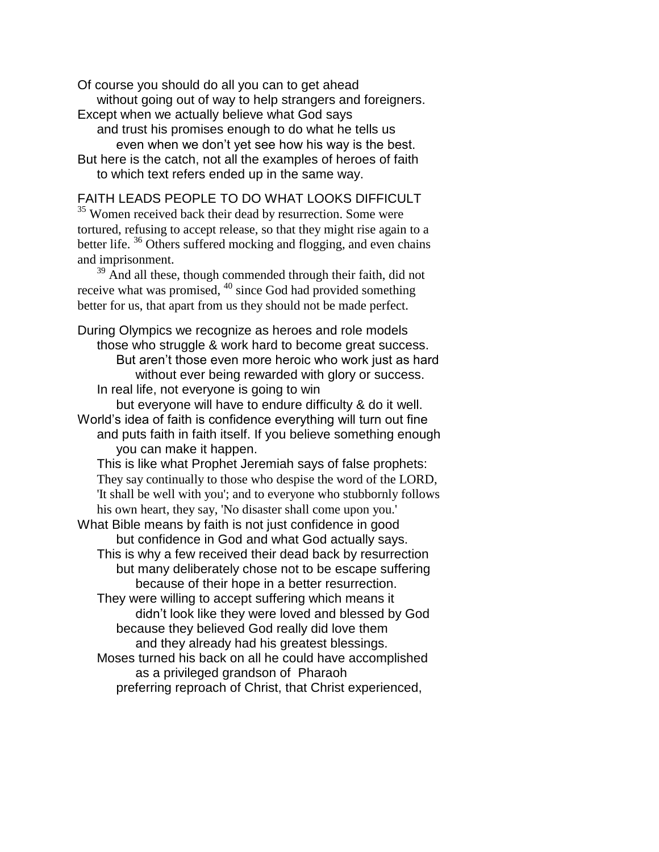Of course you should do all you can to get ahead without going out of way to help strangers and foreigners.

Except when we actually believe what God says and trust his promises enough to do what he tells us

even when we don't yet see how his way is the best.

But here is the catch, not all the examples of heroes of faith to which text refers ended up in the same way.

### FAITH LEADS PEOPLE TO DO WHAT LOOKS DIFFICULT

<sup>35</sup> Women received back their dead by resurrection. Some were tortured, refusing to accept release, so that they might rise again to a better life.<sup>36</sup> Others suffered mocking and flogging, and even chains and imprisonment.

 $39$  And all these, though commended through their faith, did not receive what was promised, <sup>40</sup> since God had provided something better for us, that apart from us they should not be made perfect.

During Olympics we recognize as heroes and role models those who struggle & work hard to become great success. But aren't those even more heroic who work just as hard without ever being rewarded with glory or success. In real life, not everyone is going to win

but everyone will have to endure difficulty & do it well. World's idea of faith is confidence everything will turn out fine and puts faith in faith itself. If you believe something enough you can make it happen.

This is like what Prophet Jeremiah says of false prophets: They say continually to those who despise the word of the LORD, 'It shall be well with you'; and to everyone who stubbornly follows his own heart, they say, 'No disaster shall come upon you.'

What Bible means by faith is not just confidence in good but confidence in God and what God actually says. This is why a few received their dead back by resurrection

but many deliberately chose not to be escape suffering because of their hope in a better resurrection.

They were willing to accept suffering which means it didn't look like they were loved and blessed by God because they believed God really did love them and they already had his greatest blessings.

Moses turned his back on all he could have accomplished as a privileged grandson of Pharaoh

preferring reproach of Christ, that Christ experienced,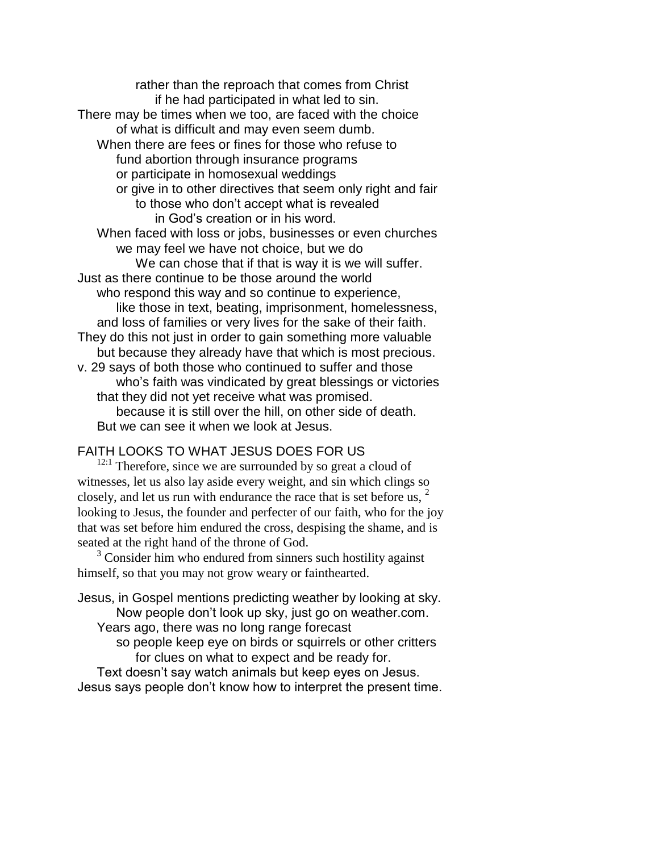rather than the reproach that comes from Christ if he had participated in what led to sin. There may be times when we too, are faced with the choice of what is difficult and may even seem dumb. When there are fees or fines for those who refuse to fund abortion through insurance programs or participate in homosexual weddings or give in to other directives that seem only right and fair to those who don't accept what is revealed in God's creation or in his word. When faced with loss or jobs, businesses or even churches we may feel we have not choice, but we do We can chose that if that is way it is we will suffer. Just as there continue to be those around the world who respond this way and so continue to experience, like those in text, beating, imprisonment, homelessness, and loss of families or very lives for the sake of their faith. They do this not just in order to gain something more valuable but because they already have that which is most precious. v. 29 says of both those who continued to suffer and those who's faith was vindicated by great blessings or victories that they did not yet receive what was promised. because it is still over the hill, on other side of death. But we can see it when we look at Jesus.

# FAITH LOOKS TO WHAT JESUS DOES FOR US

 $12:1$  Therefore, since we are surrounded by so great a cloud of witnesses, let us also lay aside every weight, and sin which clings so closely, and let us run with endurance the race that is set before us,  $2\pi$ looking to Jesus, the founder and perfecter of our faith, who for the joy that was set before him endured the cross, despising the shame, and is seated at the right hand of the throne of God.

 $3^3$  Consider him who endured from sinners such hostility against himself, so that you may not grow weary or fainthearted.

Jesus, in Gospel mentions predicting weather by looking at sky. Now people don't look up sky, just go on weather.com. Years ago, there was no long range forecast

> so people keep eye on birds or squirrels or other critters for clues on what to expect and be ready for.

Text doesn't say watch animals but keep eyes on Jesus. Jesus says people don't know how to interpret the present time.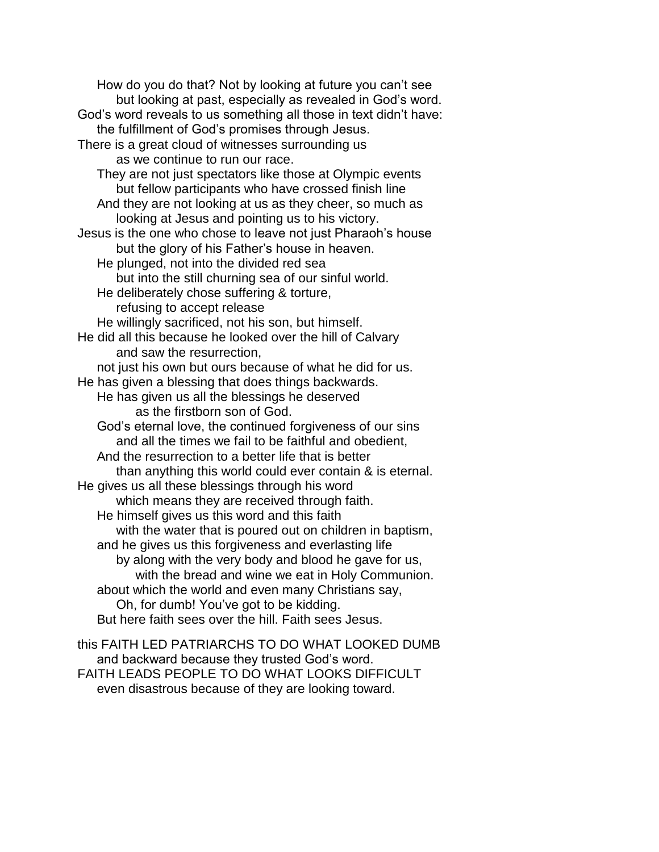How do you do that? Not by looking at future you can't see but looking at past, especially as revealed in God's word. God's word reveals to us something all those in text didn't have: the fulfillment of God's promises through Jesus. There is a great cloud of witnesses surrounding us as we continue to run our race. They are not just spectators like those at Olympic events but fellow participants who have crossed finish line And they are not looking at us as they cheer, so much as looking at Jesus and pointing us to his victory. Jesus is the one who chose to leave not just Pharaoh's house but the glory of his Father's house in heaven. He plunged, not into the divided red sea but into the still churning sea of our sinful world. He deliberately chose suffering & torture, refusing to accept release He willingly sacrificed, not his son, but himself. He did all this because he looked over the hill of Calvary and saw the resurrection, not just his own but ours because of what he did for us. He has given a blessing that does things backwards. He has given us all the blessings he deserved as the firstborn son of God. God's eternal love, the continued forgiveness of our sins and all the times we fail to be faithful and obedient, And the resurrection to a better life that is better than anything this world could ever contain & is eternal. He gives us all these blessings through his word which means they are received through faith. He himself gives us this word and this faith with the water that is poured out on children in baptism, and he gives us this forgiveness and everlasting life by along with the very body and blood he gave for us, with the bread and wine we eat in Holy Communion. about which the world and even many Christians say, Oh, for dumb! You've got to be kidding. But here faith sees over the hill. Faith sees Jesus.

this FAITH LED PATRIARCHS TO DO WHAT LOOKED DUMB and backward because they trusted God's word. FAITH LEADS PEOPLE TO DO WHAT LOOKS DIFFICULT even disastrous because of they are looking toward.